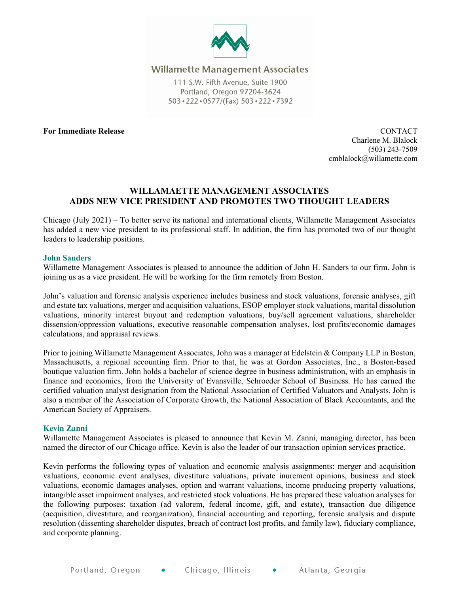

## **Willamette Management Associates**

111 S.W. Fifth Avenue, Suite 1900 Portland, Oregon 97204-3624 503 · 222 · 0577/(Fax) 503 · 222 · 7392

#### **For Immediate Release** CONTACT

Charlene M. Blalock (503) 243-7509 cmblalock@willamette.com

# **WILLAMAETTE MANAGEMENT ASSOCIATES ADDS NEW VICE PRESIDENT AND PROMOTES TWO THOUGHT LEADERS**

Chicago (July 2021) – To better serve its national and international clients, Willamette Management Associates has added a new vice president to its professional staff. In addition, the firm has promoted two of our thought leaders to leadership positions.

#### **John Sanders**

Willamette Management Associates is pleased to announce the addition of John H. Sanders to our firm. John is joining us as a vice president. He will be working for the firm remotely from Boston.

John's valuation and forensic analysis experience includes business and stock valuations, forensic analyses, gift and estate tax valuations, merger and acquisition valuations, ESOP employer stock valuations, marital dissolution valuations, minority interest buyout and redemption valuations, buy/sell agreement valuations, shareholder dissension/oppression valuations, executive reasonable compensation analyses, lost profits/economic damages calculations, and appraisal reviews.

Prior to joining Willamette Management Associates, John was a manager at Edelstein & Company LLP in Boston, Massachusetts, a regional accounting firm. Prior to that, he was at Gordon Associates, Inc., a Boston-based boutique valuation firm. John holds a bachelor of science degree in business administration, with an emphasis in finance and economics, from the University of Evansville, Schroeder School of Business. He has earned the certified valuation analyst designation from the National Association of Certified Valuators and Analysts. John is also a member of the Association of Corporate Growth, the National Association of Black Accountants, and the American Society of Appraisers.

## **Kevin Zanni**

Willamette Management Associates is pleased to announce that Kevin M. Zanni, managing director, has been named the director of our Chicago office. Kevin is also the leader of our transaction opinion services practice.

Kevin performs the following types of valuation and economic analysis assignments: merger and acquisition valuations, economic event analyses, divestiture valuations, private inurement opinions, business and stock valuations, economic damages analyses, option and warrant valuations, income producing property valuations, intangible asset impairment analyses, and restricted stock valuations. He has prepared these valuation analyses for the following purposes: taxation (ad valorem, federal income, gift, and estate), transaction due diligence (acquisition, divestiture, and reorganization), financial accounting and reporting, forensic analysis and dispute resolution (dissenting shareholder disputes, breach of contract lost profits, and family law), fiduciary compliance, and corporate planning.